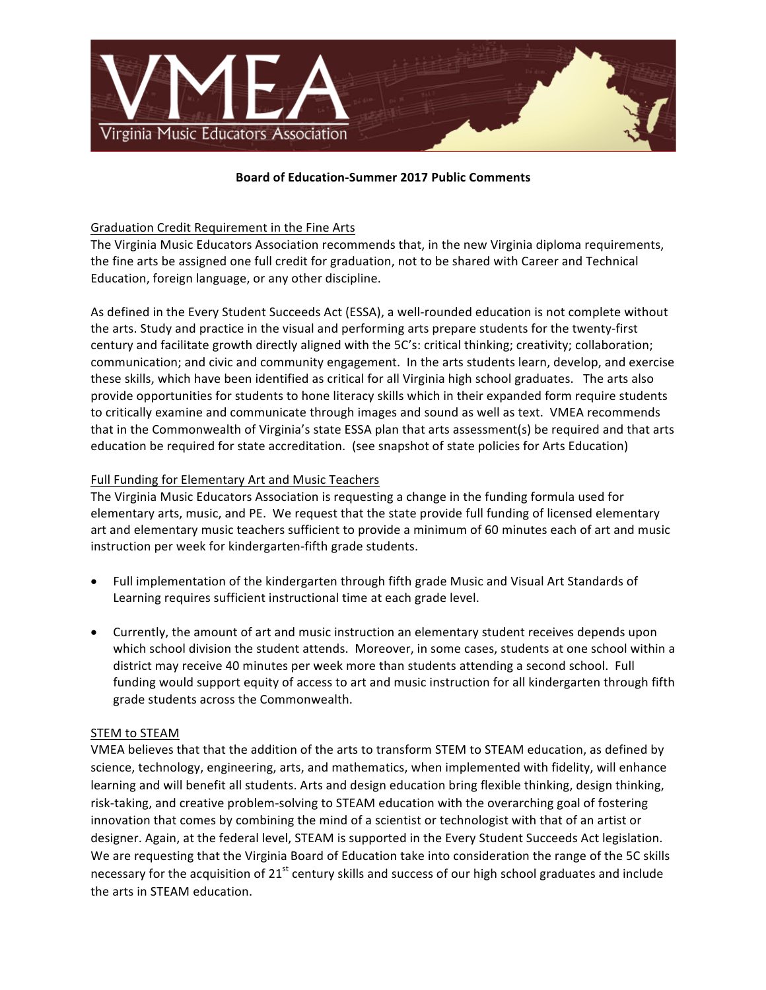

## **Board of Education-Summer 2017 Public Comments**

# Graduation Credit Requirement in the Fine Arts

The Virginia Music Educators Association recommends that, in the new Virginia diploma requirements, the fine arts be assigned one full credit for graduation, not to be shared with Career and Technical Education, foreign language, or any other discipline.

As defined in the Every Student Succeeds Act (ESSA), a well-rounded education is not complete without the arts. Study and practice in the visual and performing arts prepare students for the twenty-first century and facilitate growth directly aligned with the 5C's: critical thinking; creativity; collaboration; communication; and civic and community engagement. In the arts students learn, develop, and exercise these skills, which have been identified as critical for all Virginia high school graduates. The arts also provide opportunities for students to hone literacy skills which in their expanded form require students to critically examine and communicate through images and sound as well as text. VMEA recommends that in the Commonwealth of Virginia's state ESSA plan that arts assessment(s) be required and that arts education be required for state accreditation. (see snapshot of state policies for Arts Education)

## Full Funding for Elementary Art and Music Teachers

The Virginia Music Educators Association is requesting a change in the funding formula used for elementary arts, music, and PE. We request that the state provide full funding of licensed elementary art and elementary music teachers sufficient to provide a minimum of 60 minutes each of art and music instruction per week for kindergarten-fifth grade students.

- Full implementation of the kindergarten through fifth grade Music and Visual Art Standards of Learning requires sufficient instructional time at each grade level.
- Currently, the amount of art and music instruction an elementary student receives depends upon which school division the student attends. Moreover, in some cases, students at one school within a district may receive 40 minutes per week more than students attending a second school. Full funding would support equity of access to art and music instruction for all kindergarten through fifth grade students across the Commonwealth.

#### STEM to STEAM

VMEA believes that that the addition of the arts to transform STEM to STEAM education, as defined by science, technology, engineering, arts, and mathematics, when implemented with fidelity, will enhance learning and will benefit all students. Arts and design education bring flexible thinking, design thinking, risk-taking, and creative problem-solving to STEAM education with the overarching goal of fostering innovation that comes by combining the mind of a scientist or technologist with that of an artist or designer. Again, at the federal level, STEAM is supported in the Every Student Succeeds Act legislation. We are requesting that the Virginia Board of Education take into consideration the range of the 5C skills necessary for the acquisition of  $21^{st}$  century skills and success of our high school graduates and include the arts in STEAM education.